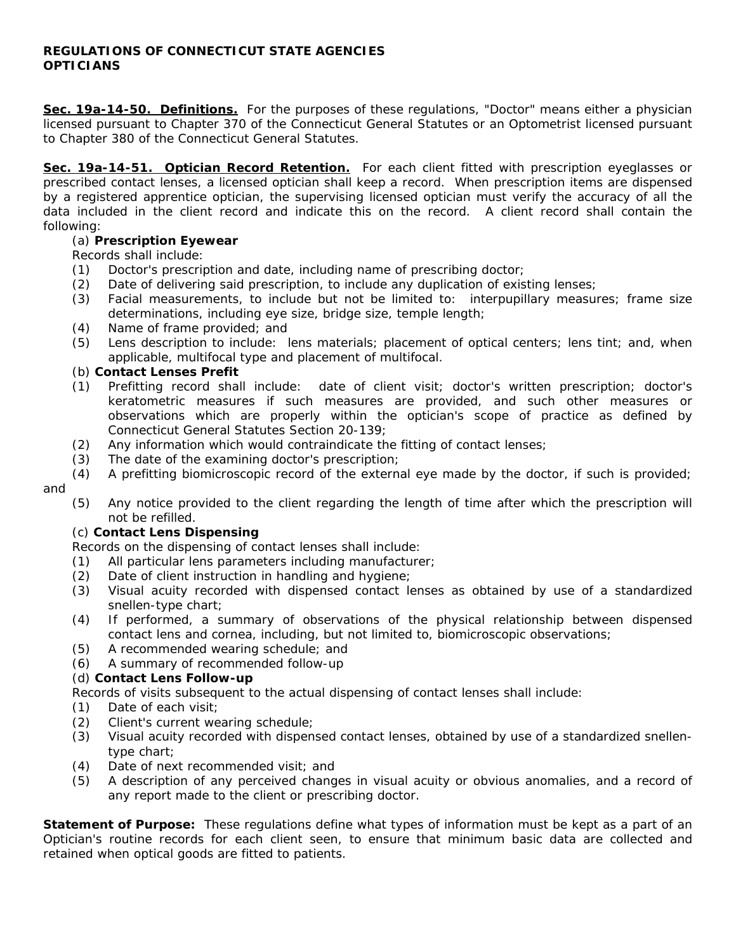## **REGULATIONS OF CONNECTICUT STATE AGENCIES OPTICIANS**

**Sec. 19a-14-50. Definitions.** For the purposes of these regulations, "Doctor" means either a physician licensed pursuant to Chapter 370 of the Connecticut General Statutes or an Optometrist licensed pursuant to Chapter 380 of the Connecticut General Statutes.

**Sec. 19a-14-51. Optician Record Retention.** For each client fitted with prescription eyeglasses or prescribed contact lenses, a licensed optician shall keep a record. When prescription items are dispensed by a registered apprentice optician, the supervising licensed optician must verify the accuracy of all the data included in the client record and indicate this on the record. A client record shall contain the following:

# (a) **Prescription Eyewear**

## Records shall include:

- (1) Doctor's prescription and date, including name of prescribing doctor;
- (2) Date of delivering said prescription, to include any duplication of existing lenses;
- (3) Facial measurements, to include but not be limited to: interpupillary measures; frame size determinations, including eye size, bridge size, temple length;
- (4) Name of frame provided; and
- (5) Lens description to include: lens materials; placement of optical centers; lens tint; and, when applicable, multifocal type and placement of multifocal.

## (b) **Contact Lenses Prefit**

- (1) Prefitting record shall include: date of client visit; doctor's written prescription; doctor's keratometric measures if such measures are provided, and such other measures or observations which are properly within the optician's scope of practice as defined by Connecticut General Statutes Section 20-139;
- (2) Any information which would contraindicate the fitting of contact lenses;
- (3) The date of the examining doctor's prescription;
- (4) A prefitting biomicroscopic record of the external eye made by the doctor, if such is provided;

#### and

 (5) Any notice provided to the client regarding the length of time after which the prescription will not be refilled.

## (c) **Contact Lens Dispensing**

Records on the dispensing of contact lenses shall include:

- (1) All particular lens parameters including manufacturer;
- (2) Date of client instruction in handling and hygiene;
- (3) Visual acuity recorded with dispensed contact lenses as obtained by use of a standardized snellen-type chart;
- (4) If performed, a summary of observations of the physical relationship between dispensed contact lens and cornea, including, but not limited to, biomicroscopic observations;
- (5) A recommended wearing schedule; and
- (6) A summary of recommended follow-up

## (d) **Contact Lens Follow-up**

Records of visits subsequent to the actual dispensing of contact lenses shall include:

- (1) Date of each visit;
- (2) Client's current wearing schedule;
- (3) Visual acuity recorded with dispensed contact lenses, obtained by use of a standardized snellentype chart;
- (4) Date of next recommended visit; and
- (5) A description of any perceived changes in visual acuity or obvious anomalies, and a record of any report made to the client or prescribing doctor.

**Statement of Purpose:** These regulations define what types of information must be kept as a part of an Optician's routine records for each client seen, to ensure that minimum basic data are collected and retained when optical goods are fitted to patients.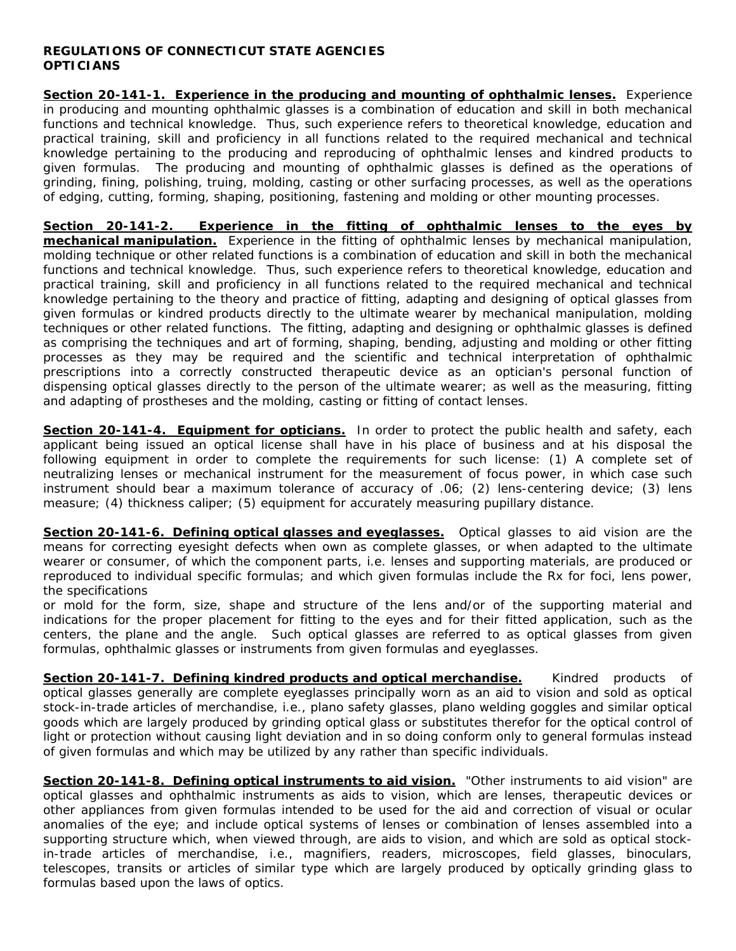## **REGULATIONS OF CONNECTICUT STATE AGENCIES OPTICIANS**

**Section 20-141-1. Experience in the producing and mounting of ophthalmic lenses.** Experience in producing and mounting ophthalmic glasses is a combination of education and skill in both mechanical functions and technical knowledge. Thus, such experience refers to theoretical knowledge, education and practical training, skill and proficiency in all functions related to the required mechanical and technical knowledge pertaining to the producing and reproducing of ophthalmic lenses and kindred products to given formulas. The producing and mounting of ophthalmic glasses is defined as the operations of grinding, fining, polishing, truing, molding, casting or other surfacing processes, as well as the operations of edging, cutting, forming, shaping, positioning, fastening and molding or other mounting processes.

**Section 20-141-2. Experience in the fitting of ophthalmic lenses to the eyes by mechanical manipulation.** Experience in the fitting of ophthalmic lenses by mechanical manipulation, molding technique or other related functions is a combination of education and skill in both the mechanical functions and technical knowledge. Thus, such experience refers to theoretical knowledge, education and practical training, skill and proficiency in all functions related to the required mechanical and technical knowledge pertaining to the theory and practice of fitting, adapting and designing of optical glasses from given formulas or kindred products directly to the ultimate wearer by mechanical manipulation, molding techniques or other related functions. The fitting, adapting and designing or ophthalmic glasses is defined as comprising the techniques and art of forming, shaping, bending, adjusting and molding or other fitting processes as they may be required and the scientific and technical interpretation of ophthalmic prescriptions into a correctly constructed therapeutic device as an optician's personal function of dispensing optical glasses directly to the person of the ultimate wearer; as well as the measuring, fitting and adapting of prostheses and the molding, casting or fitting of contact lenses.

**Section 20-141-4. Equipment for opticians.** In order to protect the public health and safety, each applicant being issued an optical license shall have in his place of business and at his disposal the following equipment in order to complete the requirements for such license: (1) A complete set of neutralizing lenses or mechanical instrument for the measurement of focus power, in which case such instrument should bear a maximum tolerance of accuracy of .06; (2) lens-centering device; (3) lens measure; (4) thickness caliper; (5) equipment for accurately measuring pupillary distance.

Section 20-141-6. Defining optical glasses and eyeglasses. Optical glasses to aid vision are the means for correcting eyesight defects when own as complete glasses, or when adapted to the ultimate wearer or consumer, of which the component parts, i.e. lenses and supporting materials, are produced or reproduced to individual specific formulas; and which given formulas include the Rx for foci, lens power, the specifications

or mold for the form, size, shape and structure of the lens and/or of the supporting material and indications for the proper placement for fitting to the eyes and for their fitted application, such as the centers, the plane and the angle. Such optical glasses are referred to as optical glasses from given formulas, ophthalmic glasses or instruments from given formulas and eyeglasses.

**Section 20-141-7. Defining kindred products and optical merchandise.** Kindred products of optical glasses generally are complete eyeglasses principally worn as an aid to vision and sold as optical stock-in-trade articles of merchandise, i.e., plano safety glasses, plano welding goggles and similar optical goods which are largely produced by grinding optical glass or substitutes therefor for the optical control of light or protection without causing light deviation and in so doing conform only to general formulas instead of given formulas and which may be utilized by any rather than specific individuals.

**Section 20-141-8. Defining optical instruments to aid vision.** "Other instruments to aid vision" are optical glasses and ophthalmic instruments as aids to vision, which are lenses, therapeutic devices or other appliances from given formulas intended to be used for the aid and correction of visual or ocular anomalies of the eye; and include optical systems of lenses or combination of lenses assembled into a supporting structure which, when viewed through, are aids to vision, and which are sold as optical stockin-trade articles of merchandise, i.e., magnifiers, readers, microscopes, field glasses, binoculars, telescopes, transits or articles of similar type which are largely produced by optically grinding glass to formulas based upon the laws of optics.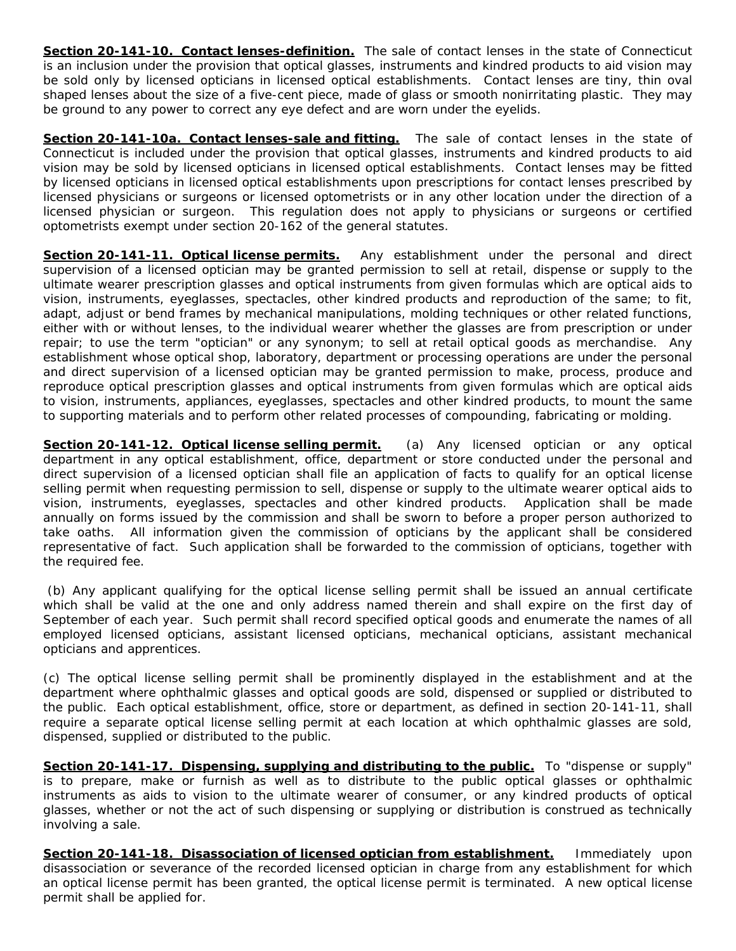**Section 20-141-10. Contact lenses-definition.** The sale of contact lenses in the state of Connecticut is an inclusion under the provision that optical glasses, instruments and kindred products to aid vision may be sold only by licensed opticians in licensed optical establishments. Contact lenses are tiny, thin oval shaped lenses about the size of a five-cent piece, made of glass or smooth nonirritating plastic. They may be ground to any power to correct any eye defect and are worn under the eyelids.

**Section 20-141-10a. Contact lenses-sale and fitting.** The sale of contact lenses in the state of Connecticut is included under the provision that optical glasses, instruments and kindred products to aid vision may be sold by licensed opticians in licensed optical establishments. Contact lenses may be fitted by licensed opticians in licensed optical establishments upon prescriptions for contact lenses prescribed by licensed physicians or surgeons or licensed optometrists or in any other location under the direction of a licensed physician or surgeon. This regulation does not apply to physicians or surgeons or certified optometrists exempt under section 20-162 of the general statutes.

**Section 20-141-11. Optical license permits.** Any establishment under the personal and direct supervision of a licensed optician may be granted permission to sell at retail, dispense or supply to the ultimate wearer prescription glasses and optical instruments from given formulas which are optical aids to vision, instruments, eyeglasses, spectacles, other kindred products and reproduction of the same; to fit, adapt, adjust or bend frames by mechanical manipulations, molding techniques or other related functions, either with or without lenses, to the individual wearer whether the glasses are from prescription or under repair; to use the term "optician" or any synonym; to sell at retail optical goods as merchandise. Any establishment whose optical shop, laboratory, department or processing operations are under the personal and direct supervision of a licensed optician may be granted permission to make, process, produce and reproduce optical prescription glasses and optical instruments from given formulas which are optical aids to vision, instruments, appliances, eyeglasses, spectacles and other kindred products, to mount the same to supporting materials and to perform other related processes of compounding, fabricating or molding.

**Section 20-141-12. Optical license selling permit.** (a) Any licensed optician or any optical department in any optical establishment, office, department or store conducted under the personal and direct supervision of a licensed optician shall file an application of facts to qualify for an optical license selling permit when requesting permission to sell, dispense or supply to the ultimate wearer optical aids to vision, instruments, eyeglasses, spectacles and other kindred products. Application shall be made annually on forms issued by the commission and shall be sworn to before a proper person authorized to take oaths. All information given the commission of opticians by the applicant shall be considered representative of fact. Such application shall be forwarded to the commission of opticians, together with the required fee.

 (b) Any applicant qualifying for the optical license selling permit shall be issued an annual certificate which shall be valid at the one and only address named therein and shall expire on the first day of September of each year. Such permit shall record specified optical goods and enumerate the names of all employed licensed opticians, assistant licensed opticians, mechanical opticians, assistant mechanical opticians and apprentices.

(c) The optical license selling permit shall be prominently displayed in the establishment and at the department where ophthalmic glasses and optical goods are sold, dispensed or supplied or distributed to the public. Each optical establishment, office, store or department, as defined in section 20-141-11, shall require a separate optical license selling permit at each location at which ophthalmic glasses are sold, dispensed, supplied or distributed to the public.

**Section 20-141-17. Dispensing, supplying and distributing to the public.** To "dispense or supply" is to prepare, make or furnish as well as to distribute to the public optical glasses or ophthalmic instruments as aids to vision to the ultimate wearer of consumer, or any kindred products of optical glasses, whether or not the act of such dispensing or supplying or distribution is construed as technically involving a sale.

**Section 20-141-18. Disassociation of licensed optician from establishment.** Immediately upon disassociation or severance of the recorded licensed optician in charge from any establishment for which an optical license permit has been granted, the optical license permit is terminated. A new optical license permit shall be applied for.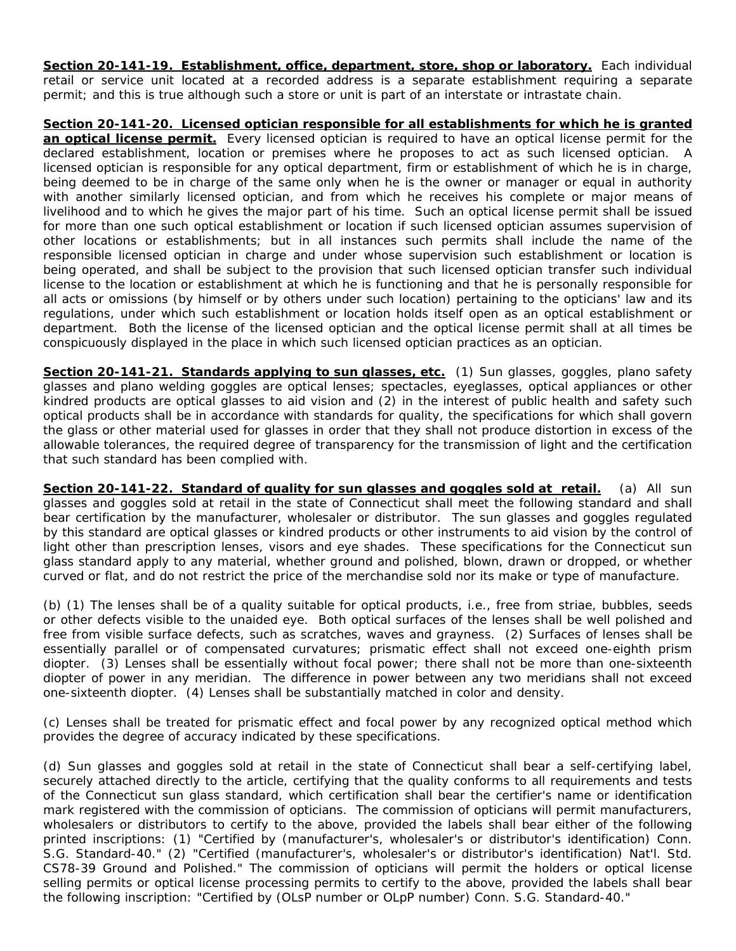**Section 20-141-19. Establishment, office, department, store, shop or laboratory.** Each individual retail or service unit located at a recorded address is a separate establishment requiring a separate permit; and this is true although such a store or unit is part of an interstate or intrastate chain.

**Section 20-141-20. Licensed optician responsible for all establishments for which he is granted an optical license permit.** Every licensed optician is required to have an optical license permit for the declared establishment, location or premises where he proposes to act as such licensed optician. A licensed optician is responsible for any optical department, firm or establishment of which he is in charge, being deemed to be in charge of the same only when he is the owner or manager or equal in authority with another similarly licensed optician, and from which he receives his complete or major means of livelihood and to which he gives the major part of his time. Such an optical license permit shall be issued for more than one such optical establishment or location if such licensed optician assumes supervision of other locations or establishments; but in all instances such permits shall include the name of the responsible licensed optician in charge and under whose supervision such establishment or location is being operated, and shall be subject to the provision that such licensed optician transfer such individual license to the location or establishment at which he is functioning and that he is personally responsible for all acts or omissions (by himself or by others under such location) pertaining to the opticians' law and its regulations, under which such establishment or location holds itself open as an optical establishment or department. Both the license of the licensed optician and the optical license permit shall at all times be conspicuously displayed in the place in which such licensed optician practices as an optician.

Section 20-141-21. Standards applying to sun glasses, etc. (1) Sun glasses, goggles, plano safety glasses and plano welding goggles are optical lenses; spectacles, eyeglasses, optical appliances or other kindred products are optical glasses to aid vision and (2) in the interest of public health and safety such optical products shall be in accordance with standards for quality, the specifications for which shall govern the glass or other material used for glasses in order that they shall not produce distortion in excess of the allowable tolerances, the required degree of transparency for the transmission of light and the certification that such standard has been complied with.

Section 20-141-22. Standard of quality for sun glasses and goggles sold at retail. (a) All sun glasses and goggles sold at retail in the state of Connecticut shall meet the following standard and shall bear certification by the manufacturer, wholesaler or distributor. The sun glasses and goggles regulated by this standard are optical glasses or kindred products or other instruments to aid vision by the control of light other than prescription lenses, visors and eye shades. These specifications for the Connecticut sun glass standard apply to any material, whether ground and polished, blown, drawn or dropped, or whether curved or flat, and do not restrict the price of the merchandise sold nor its make or type of manufacture.

(b) (1) The lenses shall be of a quality suitable for optical products, i.e., free from striae, bubbles, seeds or other defects visible to the unaided eye. Both optical surfaces of the lenses shall be well polished and free from visible surface defects, such as scratches, waves and grayness. (2) Surfaces of lenses shall be essentially parallel or of compensated curvatures; prismatic effect shall not exceed one-eighth prism diopter. (3) Lenses shall be essentially without focal power; there shall not be more than one-sixteenth diopter of power in any meridian. The difference in power between any two meridians shall not exceed one-sixteenth diopter. (4) Lenses shall be substantially matched in color and density.

(c) Lenses shall be treated for prismatic effect and focal power by any recognized optical method which provides the degree of accuracy indicated by these specifications.

(d) Sun glasses and goggles sold at retail in the state of Connecticut shall bear a self-certifying label, securely attached directly to the article, certifying that the quality conforms to all requirements and tests of the Connecticut sun glass standard, which certification shall bear the certifier's name or identification mark registered with the commission of opticians. The commission of opticians will permit manufacturers, wholesalers or distributors to certify to the above, provided the labels shall bear either of the following printed inscriptions: (1) "Certified by (manufacturer's, wholesaler's or distributor's identification) Conn. S.G. Standard-40." (2) "Certified (manufacturer's, wholesaler's or distributor's identification) Nat'l. Std. CS78-39 Ground and Polished." The commission of opticians will permit the holders or optical license selling permits or optical license processing permits to certify to the above, provided the labels shall bear the following inscription: "Certified by (OLsP number or OLpP number) Conn. S.G. Standard-40."